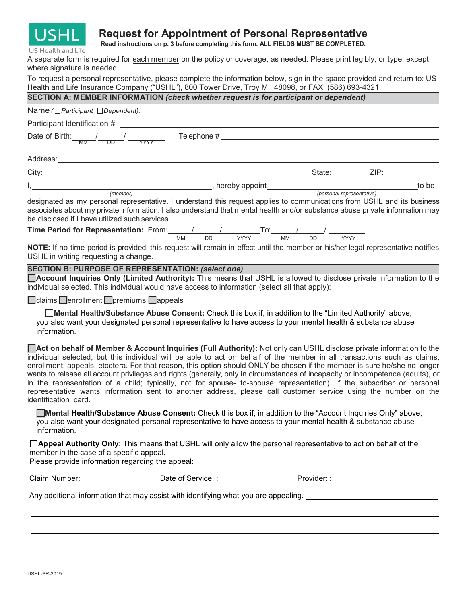

# **Request for Appointment of Personal Representative**

**Read instructions on p. 3 before completing this form. ALL FIELDS MUST BE COMPLETED.**

US Health and Life

A separate form is required for each member on the policy or coverage, as needed. Please print legibly, or type, except where signature is needed.

To request a personal representative, please complete the information below, sign in the space provided and return to: US Health and Life Insurance Company ("USHL"), 800 Tower Drive, Troy MI, 48098, or FAX: (586) 693-4321

# **SECTION A: MEMBER INFORMATION** *(check whether request is for participant or dependent)*

| Name (□ Participant □ Dependent): ________________                                                                                                                                                                                                                                                                                                                                                                                                                                                                                                                                                                                                                                                                                                                                |                   |            |       |  |
|-----------------------------------------------------------------------------------------------------------------------------------------------------------------------------------------------------------------------------------------------------------------------------------------------------------------------------------------------------------------------------------------------------------------------------------------------------------------------------------------------------------------------------------------------------------------------------------------------------------------------------------------------------------------------------------------------------------------------------------------------------------------------------------|-------------------|------------|-------|--|
| Participant Identification #:                                                                                                                                                                                                                                                                                                                                                                                                                                                                                                                                                                                                                                                                                                                                                     |                   |            |       |  |
| Date of Birth: $\frac{1}{\sqrt{M}} \frac{1}{\sqrt{D}} \frac{1}{\sqrt{M}}$ Telephone #                                                                                                                                                                                                                                                                                                                                                                                                                                                                                                                                                                                                                                                                                             |                   |            |       |  |
|                                                                                                                                                                                                                                                                                                                                                                                                                                                                                                                                                                                                                                                                                                                                                                                   |                   |            |       |  |
|                                                                                                                                                                                                                                                                                                                                                                                                                                                                                                                                                                                                                                                                                                                                                                                   |                   |            |       |  |
|                                                                                                                                                                                                                                                                                                                                                                                                                                                                                                                                                                                                                                                                                                                                                                                   |                   |            | to be |  |
| designated as my personal representative. I understand this request applies to communications from USHL and its business<br>associates about my private information. I also understand that mental health and/or substance abuse private information may<br>be disclosed if I have utilized such services.                                                                                                                                                                                                                                                                                                                                                                                                                                                                        |                   |            |       |  |
|                                                                                                                                                                                                                                                                                                                                                                                                                                                                                                                                                                                                                                                                                                                                                                                   |                   |            |       |  |
| NOTE: If no time period is provided, this request will remain in effect until the member or his/her legal representative notifies<br>USHL in writing requesting a change.                                                                                                                                                                                                                                                                                                                                                                                                                                                                                                                                                                                                         |                   |            |       |  |
| <b>SECTION B: PURPOSE OF REPRESENTATION: (select one)</b><br><b>Account Inquiries Only (Limited Authority):</b> This means that USHL is allowed to disclose private information to the<br>individual selected. This individual would have access to information (select all that apply):                                                                                                                                                                                                                                                                                                                                                                                                                                                                                          |                   |            |       |  |
| □ claims □ enrollment □ premiums □ appeals                                                                                                                                                                                                                                                                                                                                                                                                                                                                                                                                                                                                                                                                                                                                        |                   |            |       |  |
| □ Mental Health/Substance Abuse Consent: Check this box if, in addition to the "Limited Authority" above,<br>you also want your designated personal representative to have access to your mental health & substance abuse<br>information.                                                                                                                                                                                                                                                                                                                                                                                                                                                                                                                                         |                   |            |       |  |
| Act on behalf of Member & Account Inquiries (Full Authority): Not only can USHL disclose private information to the<br>individual selected, but this individual will be able to act on behalf of the member in all transactions such as claims,<br>enrollment, appeals, etcetera. For that reason, this option should ONLY be chosen if the member is sure he/she no longer<br>wants to release all account privileges and rights (generally, only in circumstances of incapacity or incompetence (adults), or<br>in the representation of a child; typically, not for spouse- to-spouse representation). If the subscriber or personal<br>representative wants information sent to another address, please call customer service using the number on the<br>identification card. |                   |            |       |  |
| Mental Health/Substance Abuse Consent: Check this box if, in addition to the "Account Inquiries Only" above,<br>you also want your designated personal representative to have access to your mental health & substance abuse<br>information.                                                                                                                                                                                                                                                                                                                                                                                                                                                                                                                                      |                   |            |       |  |
| □ Appeal Authority Only: This means that USHL will only allow the personal representative to act on behalf of the<br>member in the case of a specific appeal.<br>Please provide information regarding the appeal:                                                                                                                                                                                                                                                                                                                                                                                                                                                                                                                                                                 |                   |            |       |  |
| Claim Number:                                                                                                                                                                                                                                                                                                                                                                                                                                                                                                                                                                                                                                                                                                                                                                     | Date of Service:: | Provider:: |       |  |

Any additional information that may assist with identifying what you are appealing.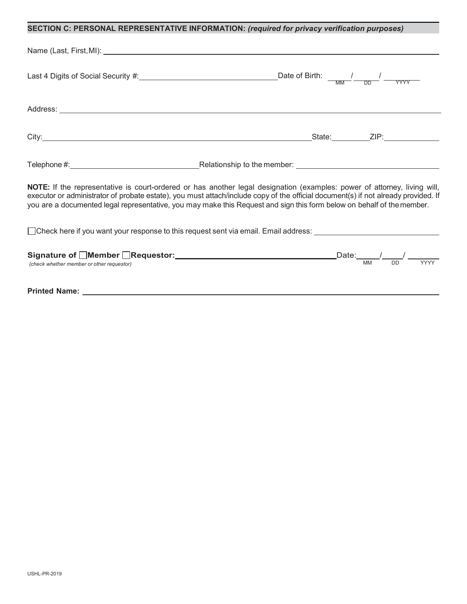# **SECTION C: PERSONAL REPRESENTATIVE INFORMATION:** *(required for privacy verification purposes)*

|                                                                                                                        | $\frac{1}{\sqrt{2\pi}}$ Date of Birth: $\frac{1}{\sqrt{2\pi}} \frac{1}{\sqrt{2\pi}}$                                                                                                                                                                           |
|------------------------------------------------------------------------------------------------------------------------|----------------------------------------------------------------------------------------------------------------------------------------------------------------------------------------------------------------------------------------------------------------|
|                                                                                                                        |                                                                                                                                                                                                                                                                |
|                                                                                                                        |                                                                                                                                                                                                                                                                |
|                                                                                                                        |                                                                                                                                                                                                                                                                |
| you are a documented legal representative, you may make this Request and sign this form below on behalf of the member. | NOTE: If the representative is court-ordered or has another legal designation (examples: power of attorney, living will,<br>executor or administrator of probate estate), you must attach/include copy of the official document(s) if not already provided. If |
| □ Check here if you want your response to this request sent via email. Email address: _________________________        |                                                                                                                                                                                                                                                                |
| (check whether member or other requestor)                                                                              |                                                                                                                                                                                                                                                                |
| <b>Printed Name:</b>                                                                                                   |                                                                                                                                                                                                                                                                |